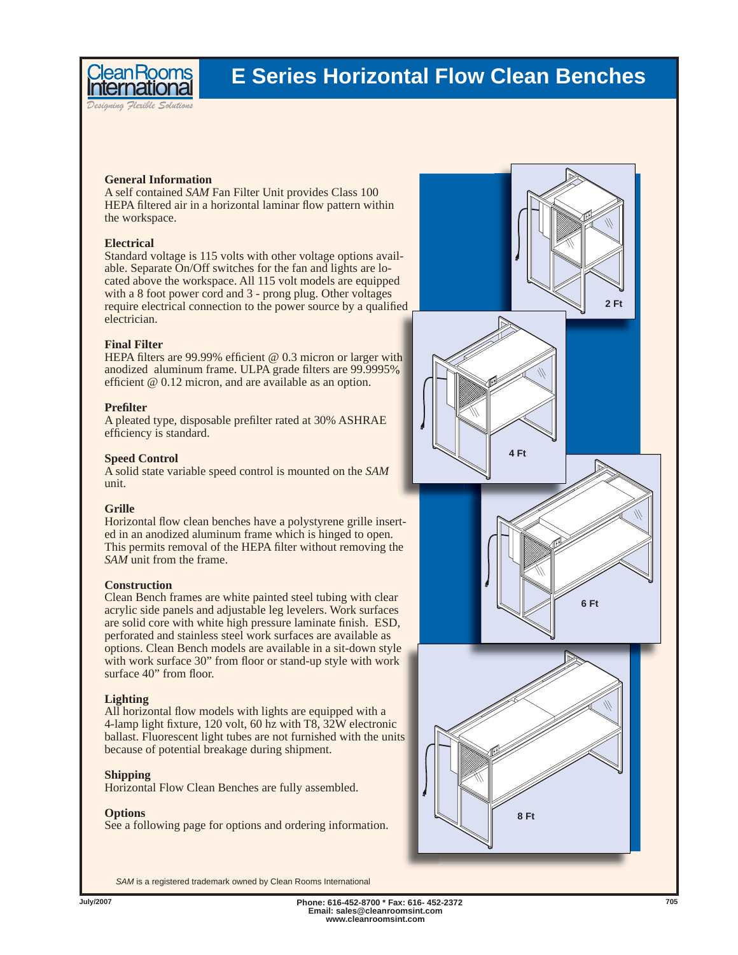

*Designing Flexible Solutions*

ean Room:

**General Information** A self contained *SAM* Fan Filter Unit provides Class 100 HEPA filtered air in a horizontal laminar flow pattern within the workspace.

#### **Electrical**

Standard voltage is 115 volts with other voltage options available. Separate On/Off switches for the fan and lights are located above the workspace. All 115 volt models are equipped with a 8 foot power cord and 3 - prong plug. Other voltages require electrical connection to the power source by a qualified electrician.

### **Final Filter**

HEPA filters are 99.99% efficient  $@ 0.3$  micron or larger with anodized aluminum frame. ULPA grade filters are 99.9995% efficient  $@ 0.12$  micron, and are available as an option.

#### **Prefi lter**

A pleated type, disposable prefilter rated at 30% ASHRAE efficiency is standard.

#### **Speed Control**

A solid state variable speed control is mounted on the *SAM* unit.

#### **Grille**

Horizontal flow clean benches have a polystyrene grille inserted in an anodized aluminum frame which is hinged to open. This permits removal of the HEPA filter without removing the *SAM* unit from the frame.

#### **Construction**

Clean Bench frames are white painted steel tubing with clear acrylic side panels and adjustable leg levelers. Work surfaces are solid core with white high pressure laminate finish. ESD, perforated and stainless steel work surfaces are available as options. Clean Bench models are available in a sit-down style with work surface 30" from floor or stand-up style with work surface 40" from floor.

#### **Lighting**

All horizontal flow models with lights are equipped with a 4-lamp light fixture, 120 volt, 60 hz with T8,  $32W$  electronic ballast. Fluorescent light tubes are not furnished with the units because of potential breakage during shipment.

#### **Shipping**

Horizontal Flow Clean Benches are fully assembled.

#### **Options**

See a following page for options and ordering information.



*SAM* is a registered trademark owned by Clean Rooms International